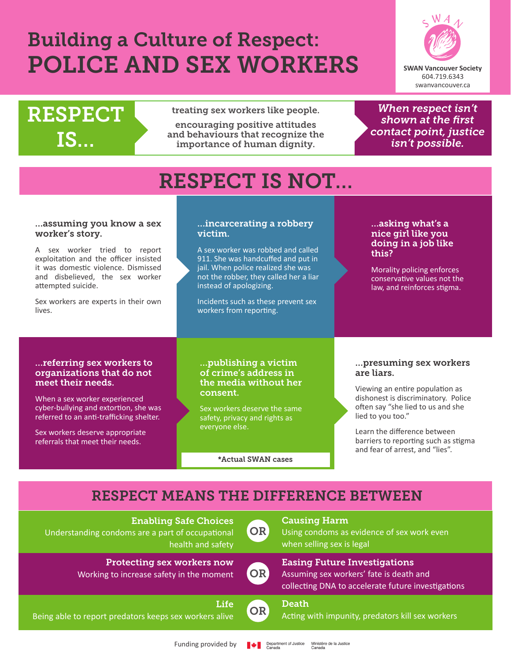# Building a Culture of Respect: POLICE AND SEX WORKERS



## RESPECT **treating sex workers like people.** IS…

encouraging positive attitudes and behaviours that recognize the importance of human dignity.

*When respect isn't shown at the first contact point, justice isn't possible.* 

## RESPECT IS NOT…

#### …assuming you know a sex worker's story.

A sex worker tried to report exploitation and the officer insisted it was domestic violence. Dismissed and disbelieved, the sex worker attempted suicide.

Sex workers are experts in their own lives.

#### …incarcerating a robbery victim.

A sex worker was robbed and called 911. She was handcuffed and put in jail. When police realized she was not the robber, they called her a liar instead of apologizing.

Incidents such as these prevent sex workers from reporting.

#### …asking what's a nice girl like you doing in a job like this?

Morality policing enforces conservative values not the law, and reinforces stigma.

#### …referring sex workers to organizations that do not meet their needs.

When a sex worker experienced cyber-bullying and extortion, she was referred to an anti-trafficking shelter.

Sex workers deserve appropriate referrals that meet their needs.

#### …publishing a victim of crime's address in the media without her consent.

Sex workers deserve the same safety, privacy and rights as everyone else.

\*Actual SWAN cases

#### …presuming sex workers are liars.

Viewing an entire population as dishonest is discriminatory. Police often say "she lied to us and she lied to you too."

Learn the difference between barriers to reporting such as stigma and fear of arrest, and "lies".

### RESPECT MEANS THE DIFFERENCE BETWEEN

| <b>Enabling Safe Choices</b><br>Understanding condoms are a part of occupational<br>health and safety | <b>OR</b> | <b>Causing Harm</b><br>Using condoms as evidence of sex work even<br>when selling sex is legal                                       |
|-------------------------------------------------------------------------------------------------------|-----------|--------------------------------------------------------------------------------------------------------------------------------------|
| <b>Protecting sex workers now</b><br>Working to increase safety in the moment                         | OR        | <b>Easing Future Investigations</b><br>Assuming sex workers' fate is death and<br>collecting DNA to accelerate future investigations |
| Life<br>Being able to report predators keeps sex workers alive                                        | OR        | <b>Death</b><br>Acting with impunity, predators kill sex workers                                                                     |